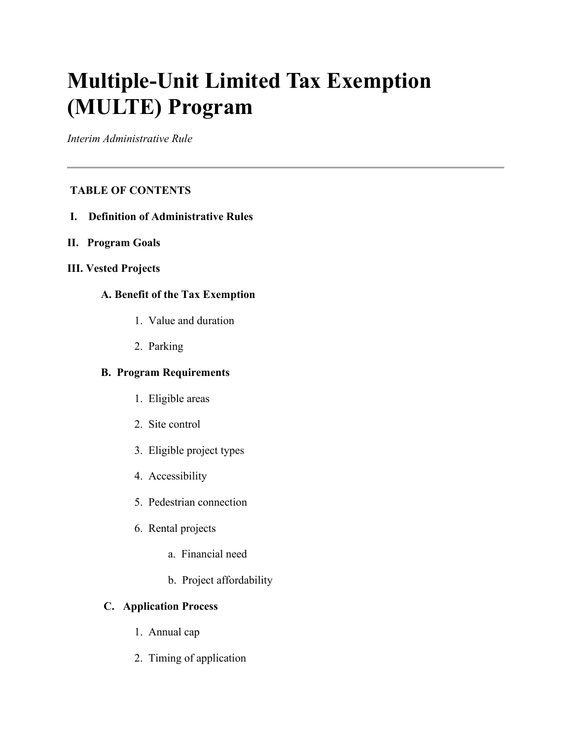# **Multiple-Unit Limited Tax Exemption (MULTE) Program**

*Interim Administrative Rule*

# **TABLE OF CONTENTS**

- **I. Definition of Administrative Rules**
- **II. Program Goals**
- **III. Vested Projects**

# **A. Benefit of the Tax Exemption**

- 1. Value and duration
- 2. Parking

# **B. Program Requirements**

- 1. Eligible areas
- 2. Site control
- 3. Eligible project types
- 4. Accessibility
- 5. Pedestrian connection
- 6. Rental projects
	- a. Financial need
	- b. Project affordability

## **C. Application Process**

- 1. Annual cap
- 2. Timing of application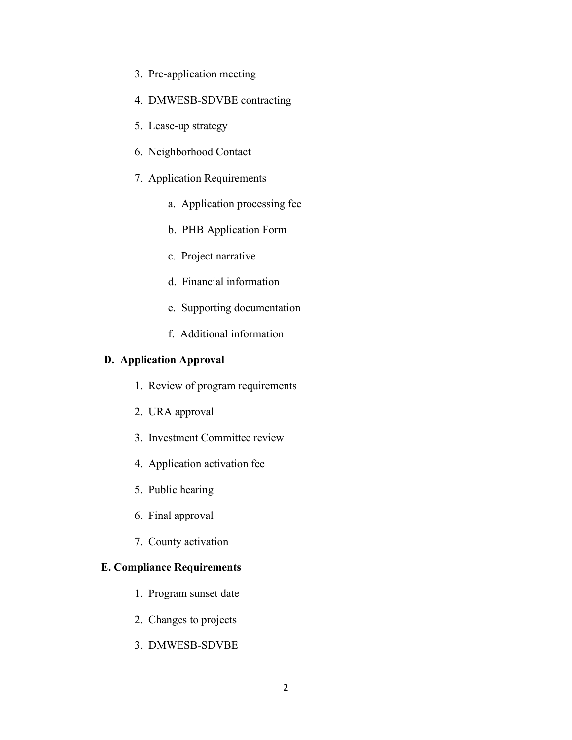- 3. Pre-application meeting
- 4. DMWESB-SDVBE contracting
- 5. Lease-up strategy
- 6. Neighborhood Contact
- 7. Application Requirements
	- a. Application processing fee
	- b. PHB Application Form
	- c. Project narrative
	- d. Financial information
	- e. Supporting documentation
	- f. Additional information

#### **D. Application Approval**

- 1. Review of program requirements
- 2. URA approval
- 3. Investment Committee review
- 4. Application activation fee
- 5. Public hearing
- 6. Final approval
- 7. County activation

## **E. Compliance Requirements**

- 1. Program sunset date
- 2. Changes to projects
- 3. DMWESB-SDVBE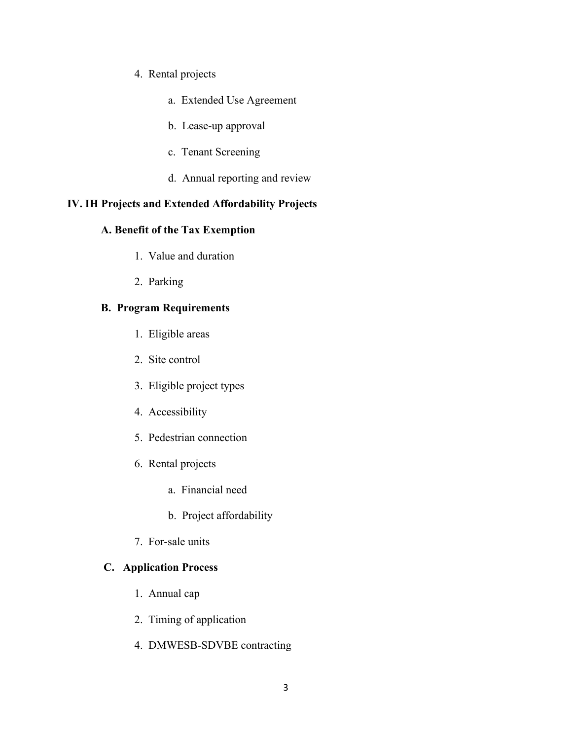### 4. Rental projects

- a. Extended Use Agreement
- b. Lease-up approval
- c. Tenant Screening
- d. Annual reporting and review

## **IV. IH Projects and Extended Affordability Projects**

## **A. Benefit of the Tax Exemption**

- 1. Value and duration
- 2. Parking

## **B. Program Requirements**

- 1. Eligible areas
- 2. Site control
- 3. Eligible project types
- 4. Accessibility
- 5. Pedestrian connection
- 6. Rental projects
	- a. Financial need
	- b. Project affordability
- 7. For-sale units

#### **C. Application Process**

- 1. Annual cap
- 2. Timing of application
- 4. DMWESB-SDVBE contracting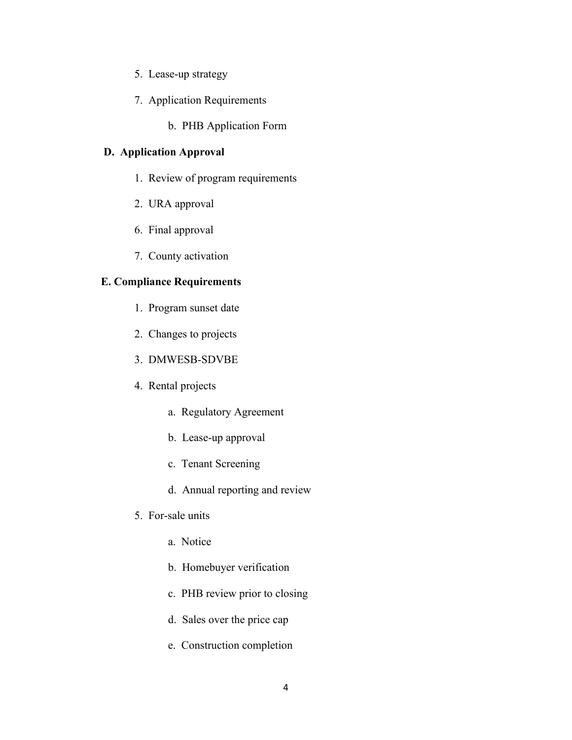- 5. Lease-up strategy
- 7. Application Requirements
	- b. PHB Application Form

## **D. Application Approval**

- 1. Review of program requirements
- 2. URA approval
- 6. Final approval
- 7. County activation

#### **E. Compliance Requirements**

- 1. Program sunset date
- 2. Changes to projects
- 3. DMWESB-SDVBE
- 4. Rental projects
	- a. Regulatory Agreement
	- b. Lease-up approval
	- c. Tenant Screening
	- d. Annual reporting and review
- 5. For-sale units
	- a. Notice
	- b. Homebuyer verification
	- c. PHB review prior to closing
	- d. Sales over the price cap
	- e. Construction completion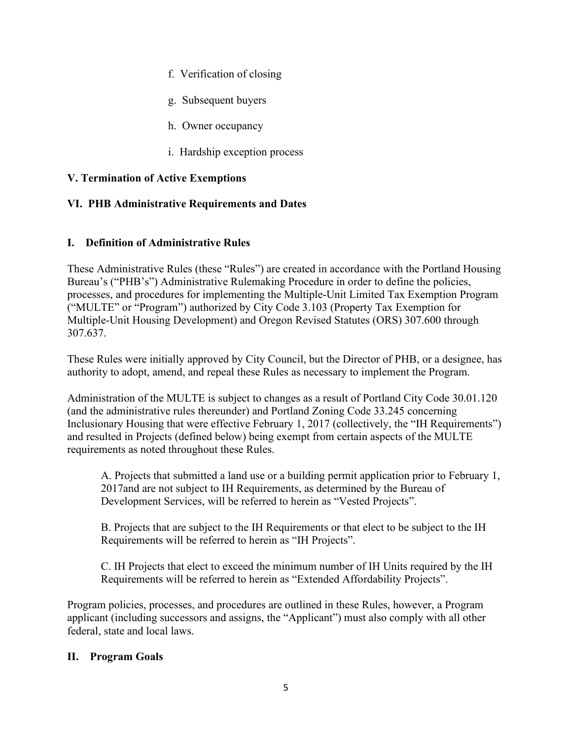- f. Verification of closing
- g. Subsequent buyers
- h. Owner occupancy
- i. Hardship exception process

## **V. Termination of Active Exemptions**

## **VI. PHB Administrative Requirements and Dates**

## **I. Definition of Administrative Rules**

These Administrative Rules (these "Rules") are created in accordance with the Portland Housing Bureau's ("PHB's") Administrative Rulemaking Procedure in order to define the policies, processes, and procedures for implementing the Multiple-Unit Limited Tax Exemption Program ("MULTE" or "Program") authorized by City Code 3.103 (Property Tax Exemption for Multiple-Unit Housing Development) and Oregon Revised Statutes (ORS) 307.600 through 307.637.

These Rules were initially approved by City Council, but the Director of PHB, or a designee, has authority to adopt, amend, and repeal these Rules as necessary to implement the Program.

Administration of the MULTE is subject to changes as a result of Portland City Code 30.01.120 (and the administrative rules thereunder) and Portland Zoning Code 33.245 concerning Inclusionary Housing that were effective February 1, 2017 (collectively, the "IH Requirements") and resulted in Projects (defined below) being exempt from certain aspects of the MULTE requirements as noted throughout these Rules.

A. Projects that submitted a land use or a building permit application prior to February 1, 2017and are not subject to IH Requirements, as determined by the Bureau of Development Services, will be referred to herein as "Vested Projects".

B. Projects that are subject to the IH Requirements or that elect to be subject to the IH Requirements will be referred to herein as "IH Projects".

C. IH Projects that elect to exceed the minimum number of IH Units required by the IH Requirements will be referred to herein as "Extended Affordability Projects".

Program policies, processes, and procedures are outlined in these Rules, however, a Program applicant (including successors and assigns, the "Applicant") must also comply with all other federal, state and local laws.

## **II. Program Goals**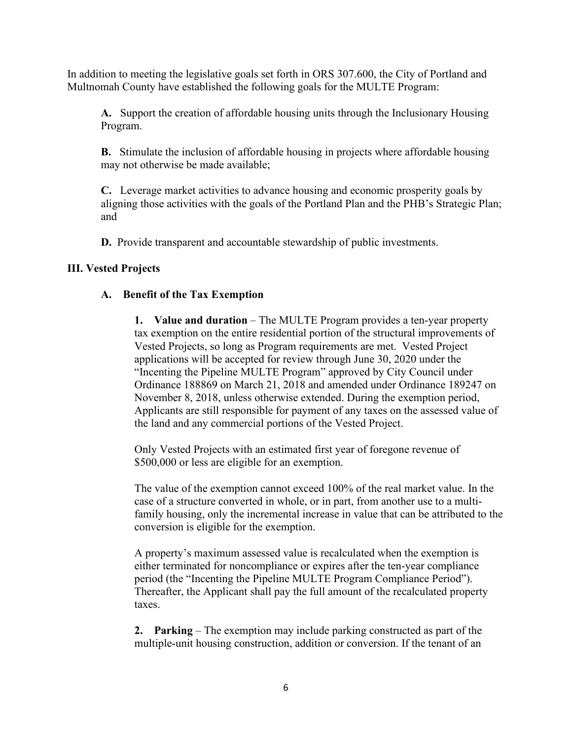In addition to meeting the legislative goals set forth in ORS 307.600, the City of Portland and Multnomah County have established the following goals for the MULTE Program:

**A.** Support the creation of affordable housing units through the Inclusionary Housing Program.

**B.** Stimulate the inclusion of affordable housing in projects where affordable housing may not otherwise be made available;

**C.** Leverage market activities to advance housing and economic prosperity goals by aligning those activities with the goals of the Portland Plan and the PHB's Strategic Plan; and

**D.** Provide transparent and accountable stewardship of public investments.

## **III. Vested Projects**

## **A. Benefit of the Tax Exemption**

**1. Value and duration** – The MULTE Program provides a ten-year property tax exemption on the entire residential portion of the structural improvements of Vested Projects, so long as Program requirements are met. Vested Project applications will be accepted for review through June 30, 2020 under the "Incenting the Pipeline MULTE Program" approved by City Council under Ordinance 188869 on March 21, 2018 and amended under Ordinance 189247 on November 8, 2018, unless otherwise extended. During the exemption period, Applicants are still responsible for payment of any taxes on the assessed value of the land and any commercial portions of the Vested Project.

Only Vested Projects with an estimated first year of foregone revenue of \$500,000 or less are eligible for an exemption.

The value of the exemption cannot exceed 100% of the real market value. In the case of a structure converted in whole, or in part, from another use to a multifamily housing, only the incremental increase in value that can be attributed to the conversion is eligible for the exemption.

A property's maximum assessed value is recalculated when the exemption is either terminated for noncompliance or expires after the ten-year compliance period (the "Incenting the Pipeline MULTE Program Compliance Period"). Thereafter, the Applicant shall pay the full amount of the recalculated property taxes.

**2. Parking** – The exemption may include parking constructed as part of the multiple-unit housing construction, addition or conversion. If the tenant of an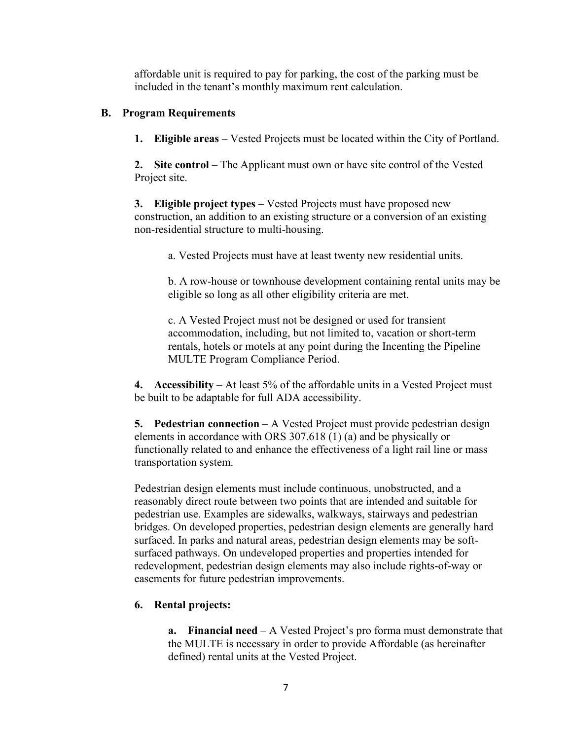affordable unit is required to pay for parking, the cost of the parking must be included in the tenant's monthly maximum rent calculation.

#### **B. Program Requirements**

**1. Eligible areas** – Vested Projects must be located within the City of Portland.

**2.** Site control – The Applicant must own or have site control of the Vested Project site.

**3. Eligible project types** – Vested Projects must have proposed new construction, an addition to an existing structure or a conversion of an existing non-residential structure to multi-housing.

a. Vested Projects must have at least twenty new residential units.

b. A row-house or townhouse development containing rental units may be eligible so long as all other eligibility criteria are met.

c. A Vested Project must not be designed or used for transient accommodation, including, but not limited to, vacation or short-term rentals, hotels or motels at any point during the Incenting the Pipeline MULTE Program Compliance Period.

**4. Accessibility** – At least 5% of the affordable units in a Vested Project must be built to be adaptable for full ADA accessibility.

**5. Pedestrian connection** – A Vested Project must provide pedestrian design elements in accordance with ORS 307.618 (1) (a) and be physically or functionally related to and enhance the effectiveness of a light rail line or mass transportation system.

Pedestrian design elements must include continuous, unobstructed, and a reasonably direct route between two points that are intended and suitable for pedestrian use. Examples are sidewalks, walkways, stairways and pedestrian bridges. On developed properties, pedestrian design elements are generally hard surfaced. In parks and natural areas, pedestrian design elements may be softsurfaced pathways. On undeveloped properties and properties intended for redevelopment, pedestrian design elements may also include rights-of-way or easements for future pedestrian improvements.

## **6. Rental projects:**

**a. Financial need** – A Vested Project's pro forma must demonstrate that the MULTE is necessary in order to provide Affordable (as hereinafter defined) rental units at the Vested Project.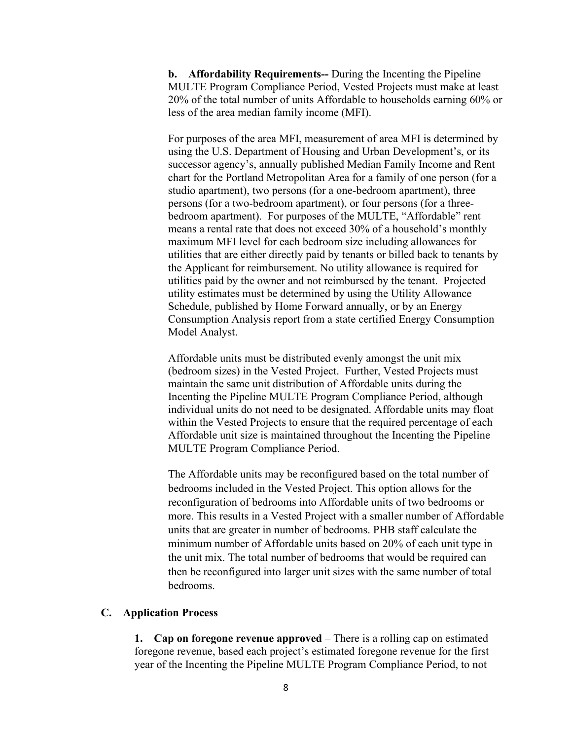**b. Affordability Requirements--** During the Incenting the Pipeline MULTE Program Compliance Period, Vested Projects must make at least 20% of the total number of units Affordable to households earning 60% or less of the area median family income (MFI).

For purposes of the area MFI, measurement of area MFI is determined by using the U.S. Department of Housing and Urban Development's, or its successor agency's, annually published Median Family Income and Rent chart for the Portland Metropolitan Area for a family of one person (for a studio apartment), two persons (for a one-bedroom apartment), three persons (for a two-bedroom apartment), or four persons (for a threebedroom apartment). For purposes of the MULTE, "Affordable" rent means a rental rate that does not exceed 30% of a household's monthly maximum MFI level for each bedroom size including allowances for utilities that are either directly paid by tenants or billed back to tenants by the Applicant for reimbursement. No utility allowance is required for utilities paid by the owner and not reimbursed by the tenant. Projected utility estimates must be determined by using the Utility Allowance Schedule, published by Home Forward annually, or by an Energy Consumption Analysis report from a state certified Energy Consumption Model Analyst.

Affordable units must be distributed evenly amongst the unit mix (bedroom sizes) in the Vested Project. Further, Vested Projects must maintain the same unit distribution of Affordable units during the Incenting the Pipeline MULTE Program Compliance Period, although individual units do not need to be designated. Affordable units may float within the Vested Projects to ensure that the required percentage of each Affordable unit size is maintained throughout the Incenting the Pipeline MULTE Program Compliance Period.

The Affordable units may be reconfigured based on the total number of bedrooms included in the Vested Project. This option allows for the reconfiguration of bedrooms into Affordable units of two bedrooms or more. This results in a Vested Project with a smaller number of Affordable units that are greater in number of bedrooms. PHB staff calculate the minimum number of Affordable units based on 20% of each unit type in the unit mix. The total number of bedrooms that would be required can then be reconfigured into larger unit sizes with the same number of total bedrooms.

#### **C. Application Process**

**1. Cap on foregone revenue approved** – There is a rolling cap on estimated foregone revenue, based each project's estimated foregone revenue for the first year of the Incenting the Pipeline MULTE Program Compliance Period, to not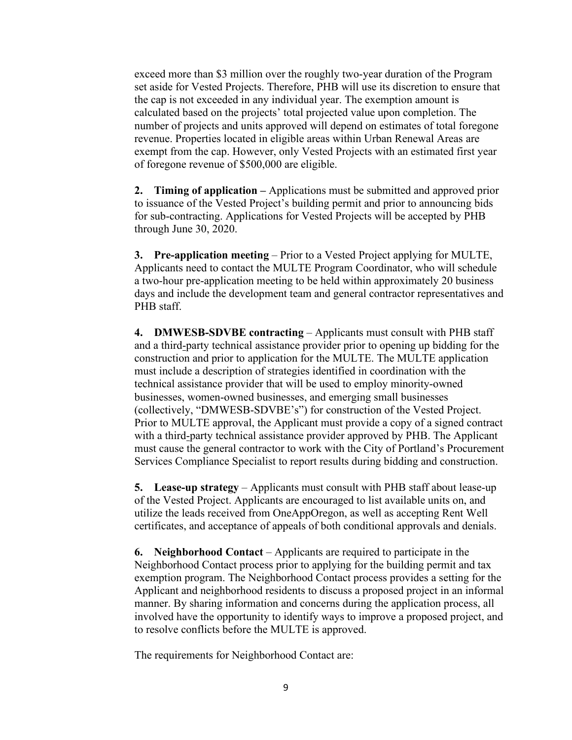exceed more than \$3 million over the roughly two-year duration of the Program set aside for Vested Projects. Therefore, PHB will use its discretion to ensure that the cap is not exceeded in any individual year. The exemption amount is calculated based on the projects' total projected value upon completion. The number of projects and units approved will depend on estimates of total foregone revenue. Properties located in eligible areas within Urban Renewal Areas are exempt from the cap. However, only Vested Projects with an estimated first year of foregone revenue of \$500,000 are eligible.

**2. Timing of application –** Applications must be submitted and approved prior to issuance of the Vested Project's building permit and prior to announcing bids for sub-contracting. Applications for Vested Projects will be accepted by PHB through June 30, 2020.

**3. Pre-application meeting** – Prior to a Vested Project applying for MULTE, Applicants need to contact the MULTE Program Coordinator, who will schedule a two-hour pre-application meeting to be held within approximately 20 business days and include the development team and general contractor representatives and PHB staff.

**4. DMWESB-SDVBE contracting** – Applicants must consult with PHB staff and a third-party technical assistance provider prior to opening up bidding for the construction and prior to application for the MULTE. The MULTE application must include a description of strategies identified in coordination with the technical assistance provider that will be used to employ minority-owned businesses, women-owned businesses, and emerging small businesses (collectively, "DMWESB-SDVBE's") for construction of the Vested Project. Prior to MULTE approval, the Applicant must provide a copy of a signed contract with a third-party technical assistance provider approved by PHB. The Applicant must cause the general contractor to work with the City of Portland's Procurement Services Compliance Specialist to report results during bidding and construction.

**5. Lease-up strategy** – Applicants must consult with PHB staff about lease-up of the Vested Project. Applicants are encouraged to list available units on, and utilize the leads received from OneAppOregon, as well as accepting Rent Well certificates, and acceptance of appeals of both conditional approvals and denials.

**6. Neighborhood Contact** – Applicants are required to participate in the Neighborhood Contact process prior to applying for the building permit and tax exemption program. The Neighborhood Contact process provides a setting for the Applicant and neighborhood residents to discuss a proposed project in an informal manner. By sharing information and concerns during the application process, all involved have the opportunity to identify ways to improve a proposed project, and to resolve conflicts before the MULTE is approved.

The requirements for Neighborhood Contact are: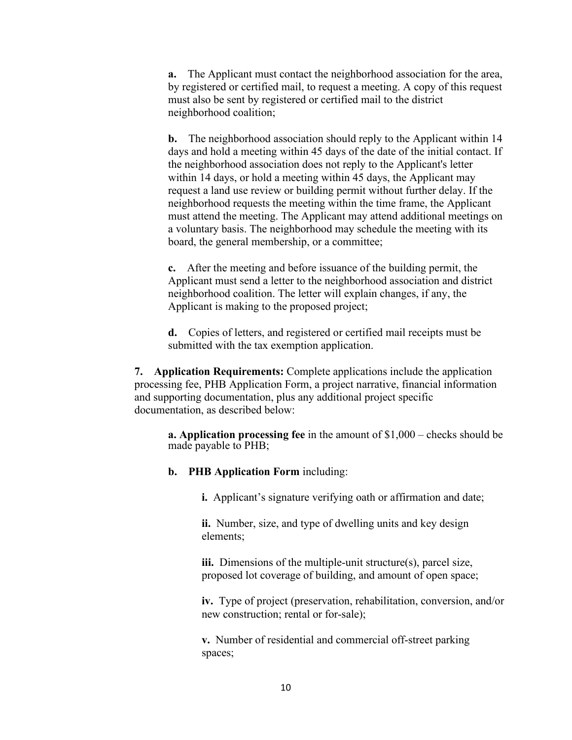**a.** The Applicant must contact the neighborhood association for the area, by registered or certified mail, to request a meeting. A copy of this request must also be sent by registered or certified mail to the district neighborhood coalition;

**b.** The neighborhood association should reply to the Applicant within 14 days and hold a meeting within 45 days of the date of the initial contact. If the neighborhood association does not reply to the Applicant's letter within 14 days, or hold a meeting within 45 days, the Applicant may request a land use review or building permit without further delay. If the neighborhood requests the meeting within the time frame, the Applicant must attend the meeting. The Applicant may attend additional meetings on a voluntary basis. The neighborhood may schedule the meeting with its board, the general membership, or a committee;

**c.** After the meeting and before issuance of the building permit, the Applicant must send a letter to the neighborhood association and district neighborhood coalition. The letter will explain changes, if any, the Applicant is making to the proposed project;

**d.** Copies of letters, and registered or certified mail receipts must be submitted with the tax exemption application.

**7. Application Requirements:** Complete applications include the application processing fee, PHB Application Form, a project narrative, financial information and supporting documentation, plus any additional project specific documentation, as described below:

**a. Application processing fee** in the amount of \$1,000 – checks should be made payable to PHB;

**b. PHB Application Form** including:

**i.** Applicant's signature verifying oath or affirmation and date;

**ii.** Number, size, and type of dwelling units and key design elements;

**iii.** Dimensions of the multiple-unit structure(s), parcel size, proposed lot coverage of building, and amount of open space;

**iv.** Type of project (preservation, rehabilitation, conversion, and/or new construction; rental or for-sale);

**v.** Number of residential and commercial off-street parking spaces;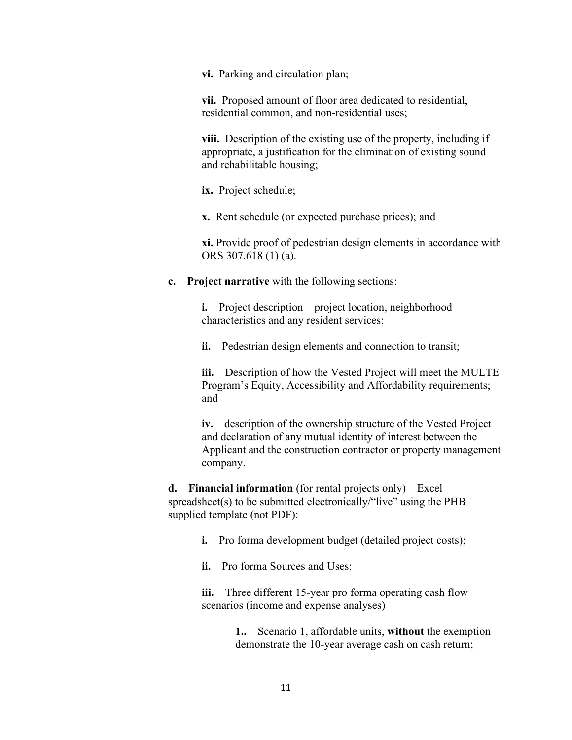**vi.** Parking and circulation plan;

**vii.** Proposed amount of floor area dedicated to residential, residential common, and non-residential uses;

**viii.** Description of the existing use of the property, including if appropriate, a justification for the elimination of existing sound and rehabilitable housing;

**ix.** Project schedule;

**x.** Rent schedule (or expected purchase prices); and

**xi.** Provide proof of pedestrian design elements in accordance with ORS 307.618 (1) (a).

**c. Project narrative** with the following sections:

**i.** Project description – project location, neighborhood characteristics and any resident services;

**ii.** Pedestrian design elements and connection to transit;

**iii.** Description of how the Vested Project will meet the MULTE Program's Equity, Accessibility and Affordability requirements; and

**iv.** description of the ownership structure of the Vested Project and declaration of any mutual identity of interest between the Applicant and the construction contractor or property management company.

**d. Financial information** (for rental projects only) – Excel spreadsheet(s) to be submitted electronically/"live" using the  $PHB$ supplied template (not PDF):

**i.** Pro forma development budget (detailed project costs);

**ii.** Pro forma Sources and Uses;

**iii.** Three different 15-year pro forma operating cash flow scenarios (income and expense analyses)

> **1..** Scenario 1, affordable units, **without** the exemption – demonstrate the 10-year average cash on cash return;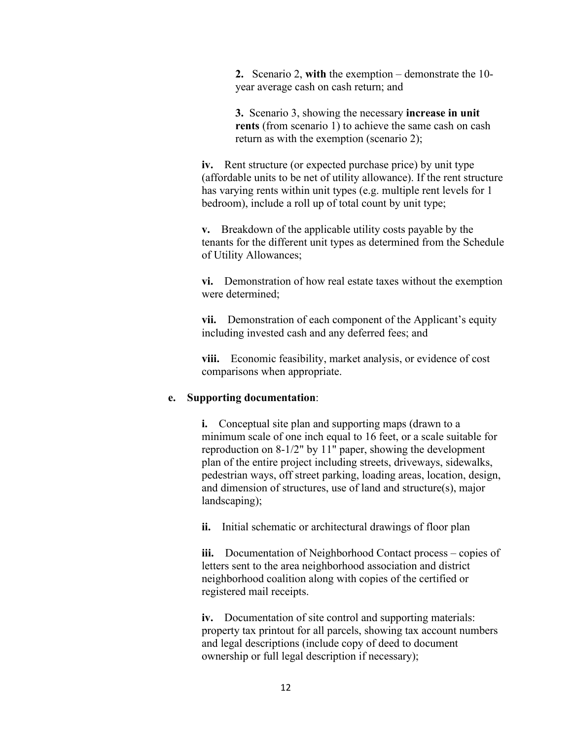**2.** Scenario 2, **with** the exemption – demonstrate the 10 year average cash on cash return; and

**3.** Scenario 3, showing the necessary **increase in unit rents** (from scenario 1) to achieve the same cash on cash return as with the exemption (scenario 2);

**iv.** Rent structure (or expected purchase price) by unit type (affordable units to be net of utility allowance). If the rent structure has varying rents within unit types (e.g. multiple rent levels for 1 bedroom), include a roll up of total count by unit type;

**v.** Breakdown of the applicable utility costs payable by the tenants for the different unit types as determined from the Schedule of Utility Allowances;

**vi.** Demonstration of how real estate taxes without the exemption were determined;

**vii.** Demonstration of each component of the Applicant's equity including invested cash and any deferred fees; and

**viii.** Economic feasibility, market analysis, or evidence of cost comparisons when appropriate.

#### **e. Supporting documentation**:

**i.** Conceptual site plan and supporting maps (drawn to a minimum scale of one inch equal to 16 feet, or a scale suitable for reproduction on 8-1/2" by 11" paper, showing the development plan of the entire project including streets, driveways, sidewalks, pedestrian ways, off street parking, loading areas, location, design, and dimension of structures, use of land and structure(s), major landscaping);

**ii.** Initial schematic or architectural drawings of floor plan

**iii.** Documentation of Neighborhood Contact process – copies of letters sent to the area neighborhood association and district neighborhood coalition along with copies of the certified or registered mail receipts.

**iv.** Documentation of site control and supporting materials: property tax printout for all parcels, showing tax account numbers and legal descriptions (include copy of deed to document ownership or full legal description if necessary);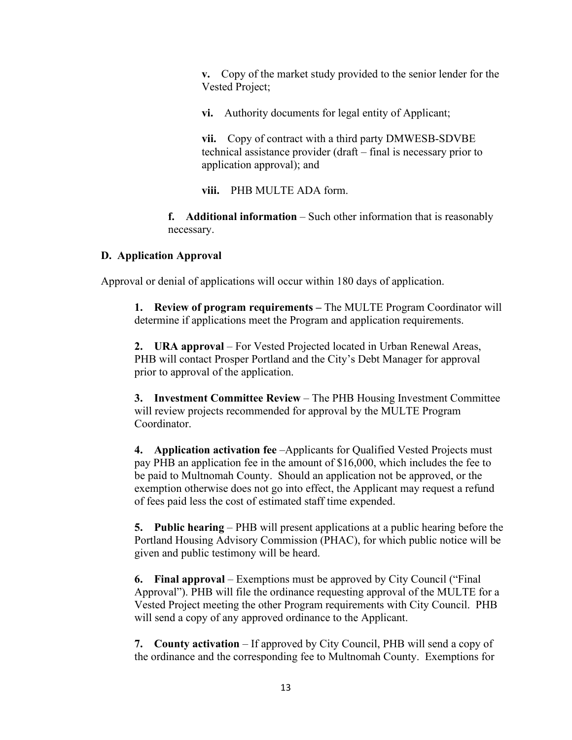**v.** Copy of the market study provided to the senior lender for the Vested Project;

**vi.** Authority documents for legal entity of Applicant;

**vii.** Copy of contract with a third party DMWESB-SDVBE technical assistance provider (draft – final is necessary prior to application approval); and

**viii.** PHB MULTE ADA form.

**f. Additional information** – Such other information that is reasonably necessary.

#### **D. Application Approval**

Approval or denial of applications will occur within 180 days of application.

**1. Review of program requirements –** The MULTE Program Coordinator will determine if applications meet the Program and application requirements.

**2. URA approval** – For Vested Projected located in Urban Renewal Areas, PHB will contact Prosper Portland and the City's Debt Manager for approval prior to approval of the application.

**3. Investment Committee Review** – The PHB Housing Investment Committee will review projects recommended for approval by the MULTE Program Coordinator.

**4. Application activation fee** –Applicants for Qualified Vested Projects must pay PHB an application fee in the amount of \$16,000, which includes the fee to be paid to Multnomah County. Should an application not be approved, or the exemption otherwise does not go into effect, the Applicant may request a refund of fees paid less the cost of estimated staff time expended.

**5. Public hearing** – PHB will present applications at a public hearing before the Portland Housing Advisory Commission (PHAC), for which public notice will be given and public testimony will be heard.

**6. Final approval** – Exemptions must be approved by City Council ("Final Approval"). PHB will file the ordinance requesting approval of the MULTE for a Vested Project meeting the other Program requirements with City Council. PHB will send a copy of any approved ordinance to the Applicant.

**7. County activation** – If approved by City Council, PHB will send a copy of the ordinance and the corresponding fee to Multnomah County. Exemptions for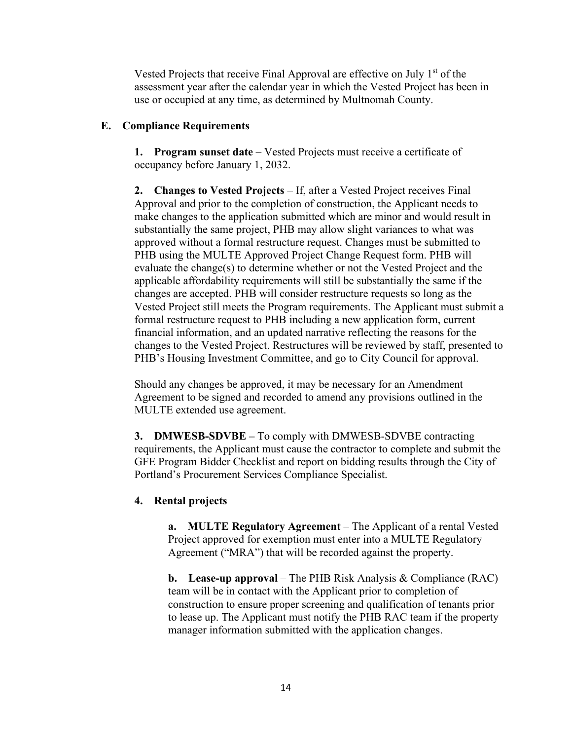Vested Projects that receive Final Approval are effective on July 1<sup>st</sup> of the assessment year after the calendar year in which the Vested Project has been in use or occupied at any time, as determined by Multnomah County.

#### **E. Compliance Requirements**

**1. Program sunset date** – Vested Projects must receive a certificate of occupancy before January 1, 2032.

**2. Changes to Vested Projects** – If, after a Vested Project receives Final Approval and prior to the completion of construction, the Applicant needs to make changes to the application submitted which are minor and would result in substantially the same project, PHB may allow slight variances to what was approved without a formal restructure request. Changes must be submitted to PHB using the MULTE Approved Project Change Request form. PHB will evaluate the change(s) to determine whether or not the Vested Project and the applicable affordability requirements will still be substantially the same if the changes are accepted. PHB will consider restructure requests so long as the Vested Project still meets the Program requirements. The Applicant must submit a formal restructure request to PHB including a new application form, current financial information, and an updated narrative reflecting the reasons for the changes to the Vested Project. Restructures will be reviewed by staff, presented to PHB's Housing Investment Committee, and go to City Council for approval.

Should any changes be approved, it may be necessary for an Amendment Agreement to be signed and recorded to amend any provisions outlined in the MULTE extended use agreement.

**3. DMWESB-SDVBE –** To comply with DMWESB-SDVBE contracting requirements, the Applicant must cause the contractor to complete and submit the GFE Program Bidder Checklist and report on bidding results through the City of Portland's Procurement Services Compliance Specialist.

#### **4. Rental projects**

**a. MULTE Regulatory Agreement** – The Applicant of a rental Vested Project approved for exemption must enter into a MULTE Regulatory Agreement ("MRA") that will be recorded against the property.

**b. Lease-up approval** – The PHB Risk Analysis & Compliance (RAC) team will be in contact with the Applicant prior to completion of construction to ensure proper screening and qualification of tenants prior to lease up. The Applicant must notify the PHB RAC team if the property manager information submitted with the application changes.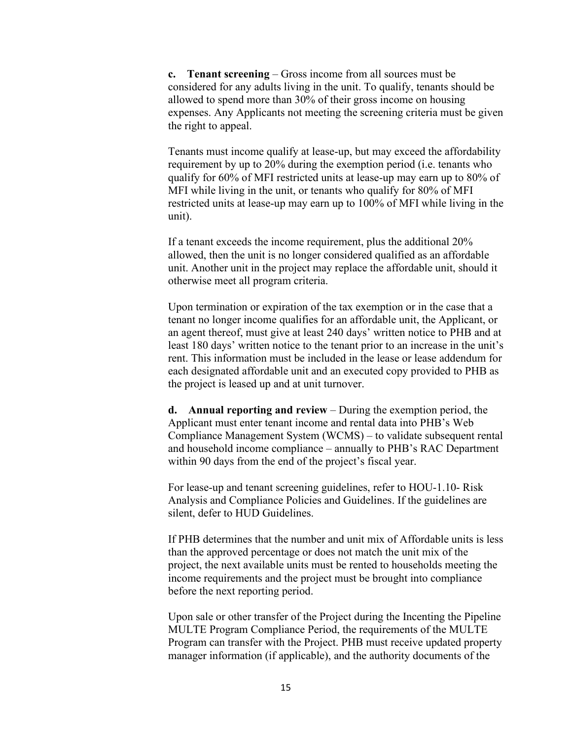**c. Tenant screening** – Gross income from all sources must be considered for any adults living in the unit. To qualify, tenants should be allowed to spend more than 30% of their gross income on housing expenses. Any Applicants not meeting the screening criteria must be given the right to appeal.

Tenants must income qualify at lease-up, but may exceed the affordability requirement by up to 20% during the exemption period (i.e. tenants who qualify for 60% of MFI restricted units at lease-up may earn up to 80% of MFI while living in the unit, or tenants who qualify for 80% of MFI restricted units at lease-up may earn up to 100% of MFI while living in the unit).

If a tenant exceeds the income requirement, plus the additional 20% allowed, then the unit is no longer considered qualified as an affordable unit. Another unit in the project may replace the affordable unit, should it otherwise meet all program criteria.

Upon termination or expiration of the tax exemption or in the case that a tenant no longer income qualifies for an affordable unit, the Applicant, or an agent thereof, must give at least 240 days' written notice to PHB and at least 180 days' written notice to the tenant prior to an increase in the unit's rent. This information must be included in the lease or lease addendum for each designated affordable unit and an executed copy provided to PHB as the project is leased up and at unit turnover.

**d. Annual reporting and review** – During the exemption period, the Applicant must enter tenant income and rental data into PHB's Web Compliance Management System (WCMS) – to validate subsequent rental and household income compliance – annually to PHB's RAC Department within 90 days from the end of the project's fiscal year.

For lease-up and tenant screening guidelines, refer to HOU-1.10- Risk Analysis and Compliance Policies and Guidelines. If the guidelines are silent, defer to HUD Guidelines.

If PHB determines that the number and unit mix of Affordable units is less than the approved percentage or does not match the unit mix of the project, the next available units must be rented to households meeting the income requirements and the project must be brought into compliance before the next reporting period.

Upon sale or other transfer of the Project during the Incenting the Pipeline MULTE Program Compliance Period, the requirements of the MULTE Program can transfer with the Project. PHB must receive updated property manager information (if applicable), and the authority documents of the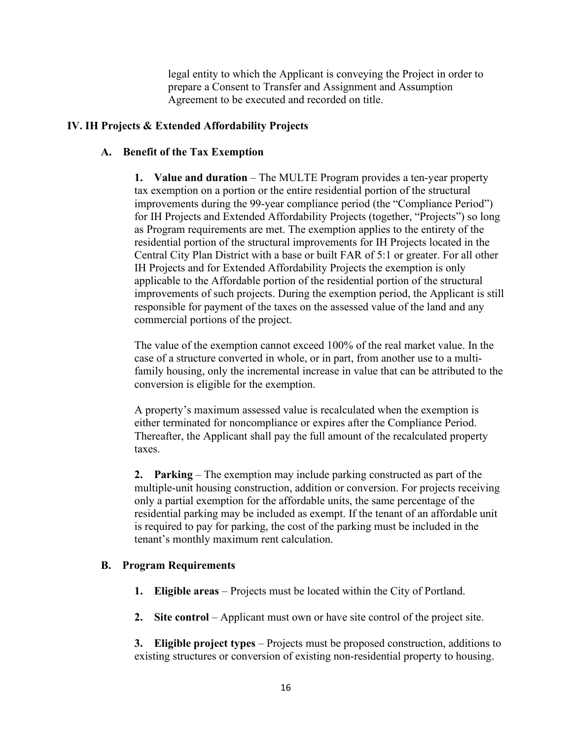legal entity to which the Applicant is conveying the Project in order to prepare a Consent to Transfer and Assignment and Assumption Agreement to be executed and recorded on title.

## **IV. IH Projects & Extended Affordability Projects**

## **A. Benefit of the Tax Exemption**

**1. Value and duration** – The MULTE Program provides a ten-year property tax exemption on a portion or the entire residential portion of the structural improvements during the 99-year compliance period (the "Compliance Period") for IH Projects and Extended Affordability Projects (together, "Projects") so long as Program requirements are met. The exemption applies to the entirety of the residential portion of the structural improvements for IH Projects located in the Central City Plan District with a base or built FAR of 5:1 or greater. For all other IH Projects and for Extended Affordability Projects the exemption is only applicable to the Affordable portion of the residential portion of the structural improvements of such projects. During the exemption period, the Applicant is still responsible for payment of the taxes on the assessed value of the land and any commercial portions of the project.

The value of the exemption cannot exceed 100% of the real market value. In the case of a structure converted in whole, or in part, from another use to a multifamily housing, only the incremental increase in value that can be attributed to the conversion is eligible for the exemption.

A property's maximum assessed value is recalculated when the exemption is either terminated for noncompliance or expires after the Compliance Period. Thereafter, the Applicant shall pay the full amount of the recalculated property taxes.

**2. Parking** – The exemption may include parking constructed as part of the multiple-unit housing construction, addition or conversion. For projects receiving only a partial exemption for the affordable units, the same percentage of the residential parking may be included as exempt. If the tenant of an affordable unit is required to pay for parking, the cost of the parking must be included in the tenant's monthly maximum rent calculation.

# **B. Program Requirements**

- **1. Eligible areas** Projects must be located within the City of Portland.
- **2.** Site control Applicant must own or have site control of the project site.

**3. Eligible project types** – Projects must be proposed construction, additions to existing structures or conversion of existing non-residential property to housing.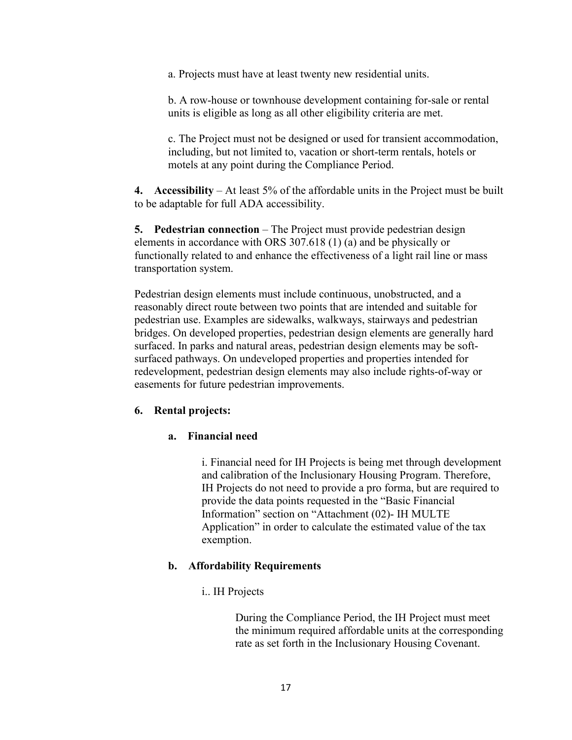a. Projects must have at least twenty new residential units.

b. A row-house or townhouse development containing for-sale or rental units is eligible as long as all other eligibility criteria are met.

c. The Project must not be designed or used for transient accommodation, including, but not limited to, vacation or short-term rentals, hotels or motels at any point during the Compliance Period.

**4. Accessibility** – At least 5% of the affordable units in the Project must be built to be adaptable for full ADA accessibility.

**5. Pedestrian connection** – The Project must provide pedestrian design elements in accordance with ORS 307.618 (1) (a) and be physically or functionally related to and enhance the effectiveness of a light rail line or mass transportation system.

Pedestrian design elements must include continuous, unobstructed, and a reasonably direct route between two points that are intended and suitable for pedestrian use. Examples are sidewalks, walkways, stairways and pedestrian bridges. On developed properties, pedestrian design elements are generally hard surfaced. In parks and natural areas, pedestrian design elements may be softsurfaced pathways. On undeveloped properties and properties intended for redevelopment, pedestrian design elements may also include rights-of-way or easements for future pedestrian improvements.

#### **6. Rental projects:**

#### **a. Financial need**

i. Financial need for IH Projects is being met through development and calibration of the Inclusionary Housing Program. Therefore, IH Projects do not need to provide a pro forma, but are required to provide the data points requested in the "Basic Financial Information" section on "Attachment (02)- IH MULTE Application" in order to calculate the estimated value of the tax exemption.

#### **b. Affordability Requirements**

i.. IH Projects

During the Compliance Period, the IH Project must meet the minimum required affordable units at the corresponding rate as set forth in the Inclusionary Housing Covenant.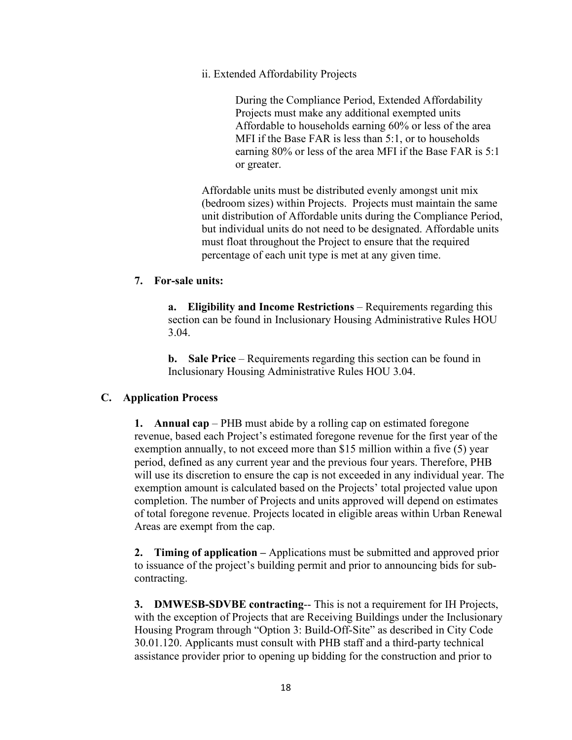ii. Extended Affordability Projects

During the Compliance Period, Extended Affordability Projects must make any additional exempted units Affordable to households earning 60% or less of the area MFI if the Base FAR is less than 5:1, or to households earning 80% or less of the area MFI if the Base FAR is 5:1 or greater.

Affordable units must be distributed evenly amongst unit mix (bedroom sizes) within Projects. Projects must maintain the same unit distribution of Affordable units during the Compliance Period, but individual units do not need to be designated. Affordable units must float throughout the Project to ensure that the required percentage of each unit type is met at any given time.

#### **7. For-sale units:**

**a. Eligibility and Income Restrictions** – Requirements regarding this section can be found in Inclusionary Housing Administrative Rules HOU 3.04.

**b. Sale Price** – Requirements regarding this section can be found in Inclusionary Housing Administrative Rules HOU 3.04.

#### **C. Application Process**

**1. Annual cap** – PHB must abide by a rolling cap on estimated foregone revenue, based each Project's estimated foregone revenue for the first year of the exemption annually, to not exceed more than \$15 million within a five (5) year period, defined as any current year and the previous four years. Therefore, PHB will use its discretion to ensure the cap is not exceeded in any individual year. The exemption amount is calculated based on the Projects' total projected value upon completion. The number of Projects and units approved will depend on estimates of total foregone revenue. Projects located in eligible areas within Urban Renewal Areas are exempt from the cap.

**2. Timing of application –** Applications must be submitted and approved prior to issuance of the project's building permit and prior to announcing bids for subcontracting.

**3. DMWESB-SDVBE contracting**-- This is not a requirement for IH Projects, with the exception of Projects that are Receiving Buildings under the Inclusionary Housing Program through "Option 3: Build-Off-Site" as described in City Code 30.01.120. Applicants must consult with PHB staff and a third-party technical assistance provider prior to opening up bidding for the construction and prior to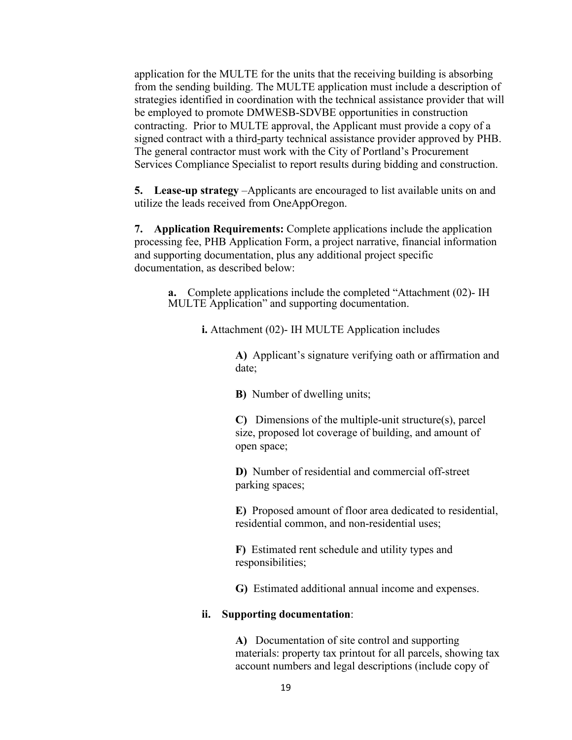application for the MULTE for the units that the receiving building is absorbing from the sending building. The MULTE application must include a description of strategies identified in coordination with the technical assistance provider that will be employed to promote DMWESB-SDVBE opportunities in construction contracting. Prior to MULTE approval, the Applicant must provide a copy of a signed contract with a third-party technical assistance provider approved by PHB. The general contractor must work with the City of Portland's Procurement Services Compliance Specialist to report results during bidding and construction.

**5. Lease-up strategy** –Applicants are encouraged to list available units on and utilize the leads received from OneAppOregon.

**7. Application Requirements:** Complete applications include the application processing fee, PHB Application Form, a project narrative, financial information and supporting documentation, plus any additional project specific documentation, as described below:

**a.** Complete applications include the completed "Attachment (02)- IH MULTE Application" and supporting documentation.

**i.** Attachment (02)- IH MULTE Application includes

**A)** Applicant's signature verifying oath or affirmation and date;

**B)** Number of dwelling units;

**C)** Dimensions of the multiple-unit structure(s), parcel size, proposed lot coverage of building, and amount of open space;

**D)** Number of residential and commercial off-street parking spaces;

**E)** Proposed amount of floor area dedicated to residential, residential common, and non-residential uses;

**F)** Estimated rent schedule and utility types and responsibilities;

**G)** Estimated additional annual income and expenses.

#### **ii. Supporting documentation**:

**A)** Documentation of site control and supporting materials: property tax printout for all parcels, showing tax account numbers and legal descriptions (include copy of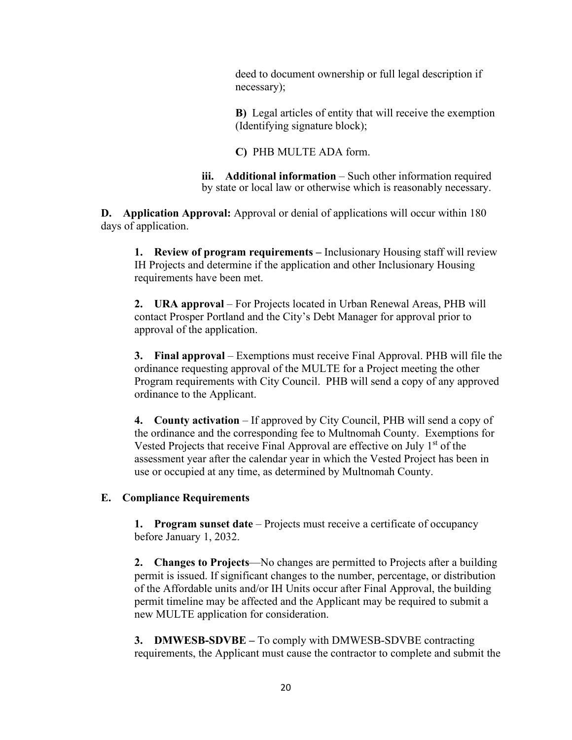deed to document ownership or full legal description if necessary);

**B)** Legal articles of entity that will receive the exemption (Identifying signature block);

**C)** PHB MULTE ADA form.

**iii. Additional information** – Such other information required by state or local law or otherwise which is reasonably necessary.

**D. Application Approval:** Approval or denial of applications will occur within 180 days of application.

**1. Review of program requirements –** Inclusionary Housing staff will review IH Projects and determine if the application and other Inclusionary Housing requirements have been met.

**2. URA approval** – For Projects located in Urban Renewal Areas, PHB will contact Prosper Portland and the City's Debt Manager for approval prior to approval of the application.

**3. Final approval** – Exemptions must receive Final Approval. PHB will file the ordinance requesting approval of the MULTE for a Project meeting the other Program requirements with City Council. PHB will send a copy of any approved ordinance to the Applicant.

**4. County activation** – If approved by City Council, PHB will send a copy of the ordinance and the corresponding fee to Multnomah County. Exemptions for Vested Projects that receive Final Approval are effective on July 1<sup>st</sup> of the assessment year after the calendar year in which the Vested Project has been in use or occupied at any time, as determined by Multnomah County.

#### **E. Compliance Requirements**

**1. Program sunset date** – Projects must receive a certificate of occupancy before January 1, 2032.

**2. Changes to Projects**—No changes are permitted to Projects after a building permit is issued. If significant changes to the number, percentage, or distribution of the Affordable units and/or IH Units occur after Final Approval, the building permit timeline may be affected and the Applicant may be required to submit a new MULTE application for consideration.

**3. DMWESB-SDVBE** – To comply with DMWESB-SDVBE contracting requirements, the Applicant must cause the contractor to complete and submit the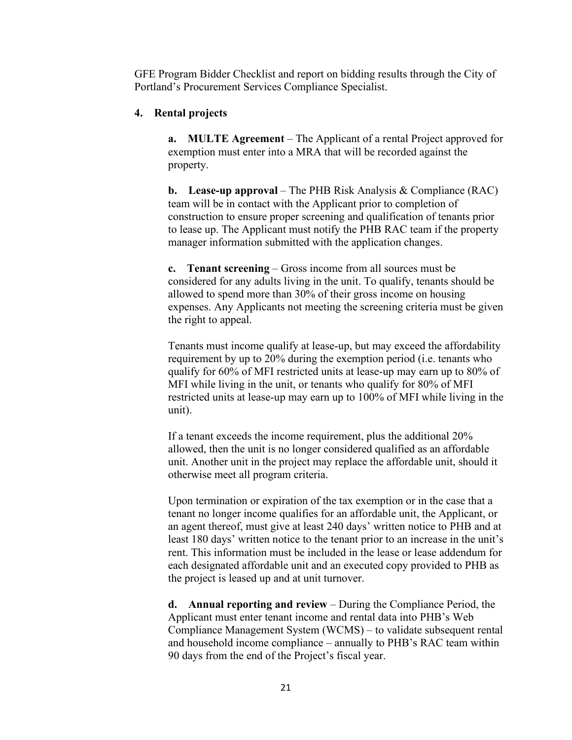GFE Program Bidder Checklist and report on bidding results through the City of Portland's Procurement Services Compliance Specialist.

#### **4. Rental projects**

**a. MULTE Agreement** – The Applicant of a rental Project approved for exemption must enter into a MRA that will be recorded against the property.

**b. Lease-up approval** – The PHB Risk Analysis & Compliance (RAC) team will be in contact with the Applicant prior to completion of construction to ensure proper screening and qualification of tenants prior to lease up. The Applicant must notify the PHB RAC team if the property manager information submitted with the application changes.

**c. Tenant screening** – Gross income from all sources must be considered for any adults living in the unit. To qualify, tenants should be allowed to spend more than 30% of their gross income on housing expenses. Any Applicants not meeting the screening criteria must be given the right to appeal.

Tenants must income qualify at lease-up, but may exceed the affordability requirement by up to 20% during the exemption period (i.e. tenants who qualify for 60% of MFI restricted units at lease-up may earn up to 80% of MFI while living in the unit, or tenants who qualify for 80% of MFI restricted units at lease-up may earn up to 100% of MFI while living in the unit).

If a tenant exceeds the income requirement, plus the additional 20% allowed, then the unit is no longer considered qualified as an affordable unit. Another unit in the project may replace the affordable unit, should it otherwise meet all program criteria.

Upon termination or expiration of the tax exemption or in the case that a tenant no longer income qualifies for an affordable unit, the Applicant, or an agent thereof, must give at least 240 days' written notice to PHB and at least 180 days' written notice to the tenant prior to an increase in the unit's rent. This information must be included in the lease or lease addendum for each designated affordable unit and an executed copy provided to PHB as the project is leased up and at unit turnover.

**d. Annual reporting and review** – During the Compliance Period, the Applicant must enter tenant income and rental data into PHB's Web Compliance Management System (WCMS) – to validate subsequent rental and household income compliance – annually to PHB's RAC team within 90 days from the end of the Project's fiscal year.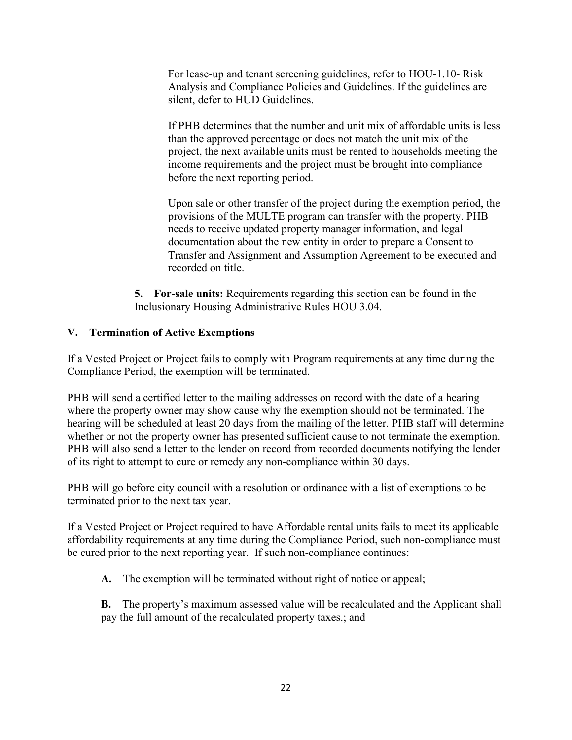For lease-up and tenant screening guidelines, refer to HOU-1.10- Risk Analysis and Compliance Policies and Guidelines. If the guidelines are silent, defer to HUD Guidelines.

If PHB determines that the number and unit mix of affordable units is less than the approved percentage or does not match the unit mix of the project, the next available units must be rented to households meeting the income requirements and the project must be brought into compliance before the next reporting period.

Upon sale or other transfer of the project during the exemption period, the provisions of the MULTE program can transfer with the property. PHB needs to receive updated property manager information, and legal documentation about the new entity in order to prepare a Consent to Transfer and Assignment and Assumption Agreement to be executed and recorded on title.

**5. For-sale units:** Requirements regarding this section can be found in the Inclusionary Housing Administrative Rules HOU 3.04.

## **V. Termination of Active Exemptions**

If a Vested Project or Project fails to comply with Program requirements at any time during the Compliance Period, the exemption will be terminated.

PHB will send a certified letter to the mailing addresses on record with the date of a hearing where the property owner may show cause why the exemption should not be terminated. The hearing will be scheduled at least 20 days from the mailing of the letter. PHB staff will determine whether or not the property owner has presented sufficient cause to not terminate the exemption. PHB will also send a letter to the lender on record from recorded documents notifying the lender of its right to attempt to cure or remedy any non-compliance within 30 days.

PHB will go before city council with a resolution or ordinance with a list of exemptions to be terminated prior to the next tax year.

If a Vested Project or Project required to have Affordable rental units fails to meet its applicable affordability requirements at any time during the Compliance Period, such non-compliance must be cured prior to the next reporting year. If such non-compliance continues:

**A.** The exemption will be terminated without right of notice or appeal;

**B.** The property's maximum assessed value will be recalculated and the Applicant shall pay the full amount of the recalculated property taxes.; and